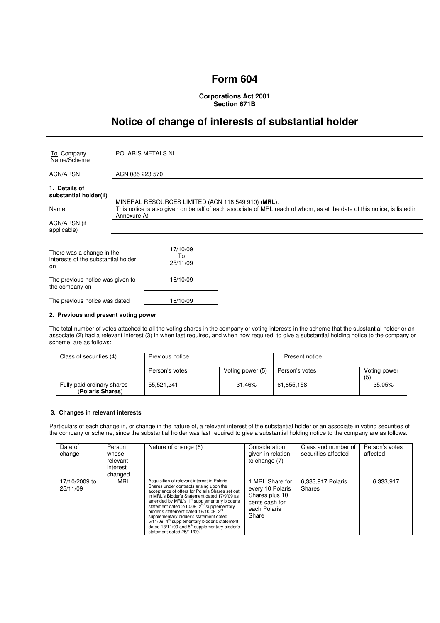# **Form 604**

**Corporations Act 2001 Section 671B** 

# **Notice of change of interests of substantial holder**

| To Company<br>Name/Scheme                                              | <b>POLARIS METALS NL</b>                                                                                                               |  |  |
|------------------------------------------------------------------------|----------------------------------------------------------------------------------------------------------------------------------------|--|--|
| ACN/ARSN                                                               | ACN 085 223 570                                                                                                                        |  |  |
| 1. Details of<br>substantial holder(1)                                 | MINERAL RESOURCES LIMITED (ACN 118 549 910) (MRL).                                                                                     |  |  |
| Name                                                                   | This notice is also given on behalf of each associate of MRL (each of whom, as at the date of this notice, is listed in<br>Annexure A) |  |  |
| ACN/ARSN (if<br>applicable)                                            |                                                                                                                                        |  |  |
| There was a change in the<br>interests of the substantial holder<br>on | 17/10/09<br>To<br>25/11/09                                                                                                             |  |  |
| The previous notice was given to<br>the company on                     | 16/10/09                                                                                                                               |  |  |
| The previous notice was dated                                          | 16/10/09                                                                                                                               |  |  |

### **2. Previous and present voting power**

The total number of votes attached to all the voting shares in the company or voting interests in the scheme that the substantial holder or an associate (2) had a relevant interest (3) in when last required, and when now required, to give a substantial holding notice to the company or scheme, are as follows:

| Class of securities (4)                        | Previous notice |                  | Present notice |                     |
|------------------------------------------------|-----------------|------------------|----------------|---------------------|
|                                                | Person's votes  | Voting power (5) | Person's votes | Voting power<br>(5) |
| Fully paid ordinary shares<br>(Polaris Shares) | 55.521.241      | 31.46%           | 61,855,158     | 35.05%              |

#### **3. Changes in relevant interests**

Particulars of each change in, or change in the nature of, a relevant interest of the substantial holder or an associate in voting securities of the company or scheme, since the substantial holder was last required to give a substantial holding notice to the company are as follows:

| Date of<br>change         | Person<br>whose<br>relevant<br>interest<br>changed | Nature of change (6)                                                                                                                                                                                                                                                                                                                                                                                                                                                                                                                       | Consideration<br>given in relation<br>to change $(7)$                                          | Class and number of<br>securities affected | Person's votes<br>affected |
|---------------------------|----------------------------------------------------|--------------------------------------------------------------------------------------------------------------------------------------------------------------------------------------------------------------------------------------------------------------------------------------------------------------------------------------------------------------------------------------------------------------------------------------------------------------------------------------------------------------------------------------------|------------------------------------------------------------------------------------------------|--------------------------------------------|----------------------------|
| 17/10/2009 to<br>25/11/09 | MRL                                                | Acquisition of relevant interest in Polaris<br>Shares under contracts arising upon the<br>acceptance of offers for Polaris Shares set out<br>in MRL's Bidder's Statement dated 17/9/09 as<br>amended by MRL's 1 <sup>st</sup> supplementary bidder's<br>statement dated 2/10/09, 2 <sup>nd</sup> supplementary<br>bidder's statement dated 16/10/09, 3rd<br>supplementary bidder's statement dated<br>$5/11/09$ , $4th$ supplementary bidder's statement<br>dated $13/11/09$ and $5th$ supplementary bidder's<br>statement dated 25/11/09. | MRL Share for<br>every 10 Polaris<br>Shares plus 10<br>cents cash for<br>each Polaris<br>Share | 6,333,917 Polaris<br><b>Shares</b>         | 6,333,917                  |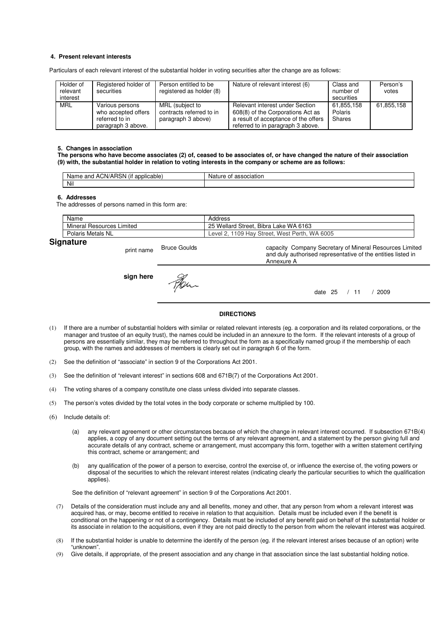## **4. Present relevant interests**

Particulars of each relevant interest of the substantial holder in voting securities after the change are as follows:

| Holder of<br>relevant<br>interest | Registered holder of<br>securities                                             | Person entitled to be<br>registered as holder (8)                 | Nature of relevant interest (6)                                                                                                                   | Class and<br>number of<br>securities | Person's<br>votes |
|-----------------------------------|--------------------------------------------------------------------------------|-------------------------------------------------------------------|---------------------------------------------------------------------------------------------------------------------------------------------------|--------------------------------------|-------------------|
| MRL                               | Various persons<br>who accepted offers<br>referred to in<br>paragraph 3 above. | MRL (subject to<br>contracts referred to in<br>paragraph 3 above) | Relevant interest under Section<br>608(8) of the Corporations Act as<br>a result of acceptance of the offers<br>referred to in paragraph 3 above. | 61.855.158<br>Polaris<br>Shares      | 61,855,158        |

#### **5. Changes in association**

**The persons who have become associates (2) of, ceased to be associates of, or have changed the nature of their association (9) with, the substantial holder in relation to voting interests in the company or scheme are as follows:** 

| $\cdots$<br>ימ<br>ACN/AH<br>and<br>licable:<br>Name<br>ווסו<br>$-1111$<br>. . | ciation<br>Nai.<br>nt |
|-------------------------------------------------------------------------------|-----------------------|
| Nil                                                                           |                       |

#### **6. Addresses**

The addresses of persons named in this form are:

|    | Name                            | Address                                                    |
|----|---------------------------------|------------------------------------------------------------|
|    | Mineral<br>Limited<br>Resources | Bibra Lake WA 6163<br>25 Wellard Street,                   |
|    | Polaris Metals NL               | <b>WA</b><br>6005<br>1109 Hay Street, West Perth,<br>Level |
| ~- |                                 |                                                            |

# **Signature**

print name Bruce Goulds capacity Company Secretary of Mineral Resources Limited and duly authorised representative of the entities listed in Annexure A **sign here** Fer. date 25 / 11 / 2009

## **DIRECTIONS**

- (1) If there are a number of substantial holders with similar or related relevant interests (eg. a corporation and its related corporations, or the manager and trustee of an equity trust), the names could be included in an annexure to the form. If the relevant interests of a group of persons are essentially similar, they may be referred to throughout the form as a specifically named group if the membership of each group, with the names and addresses of members is clearly set out in paragraph 6 of the form.
- (2) See the definition of "associate" in section 9 of the Corporations Act 2001.
- (3) See the definition of "relevant interest" in sections 608 and 671B(7) of the Corporations Act 2001.
- (4) The voting shares of a company constitute one class unless divided into separate classes.
- (5) The person's votes divided by the total votes in the body corporate or scheme multiplied by 100.
- (6) Include details of:
	- (a) any relevant agreement or other circumstances because of which the change in relevant interest occurred. If subsection 671B(4) applies, a copy of any document setting out the terms of any relevant agreement, and a statement by the person giving full and accurate details of any contract, scheme or arrangement, must accompany this form, together with a written statement certifying this contract, scheme or arrangement; and
	- (b) any qualification of the power of a person to exercise, control the exercise of, or influence the exercise of, the voting powers or disposal of the securities to which the relevant interest relates (indicating clearly the particular securities to which the qualification applies).

See the definition of "relevant agreement" in section 9 of the Corporations Act 2001.

- (7) Details of the consideration must include any and all benefits, money and other, that any person from whom a relevant interest was acquired has, or may, become entitled to receive in relation to that acquisition. Details must be included even if the benefit is conditional on the happening or not of a contingency. Details must be included of any benefit paid on behalf of the substantial holder or its associate in relation to the acquisitions, even if they are not paid directly to the person from whom the relevant interest was acquired.
- (8) If the substantial holder is unable to determine the identify of the person (eg. if the relevant interest arises because of an option) write "unknown".
- (9) Give details, if appropriate, of the present association and any change in that association since the last substantial holding notice.